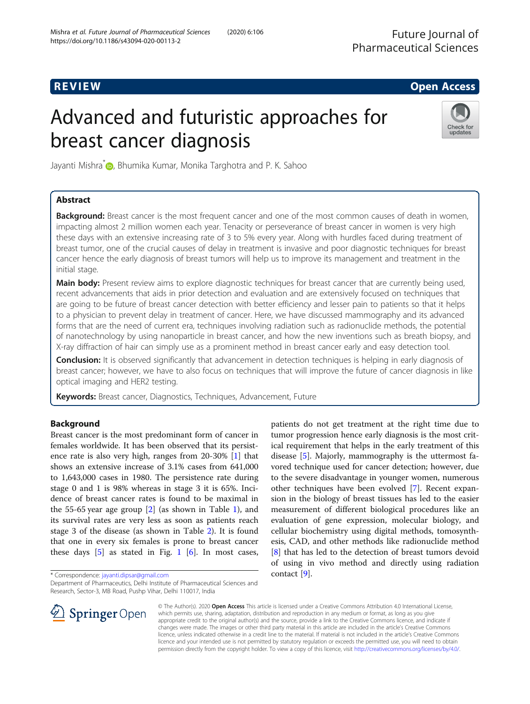# R EVI EW Open Access

# Advanced and futuristic approaches for breast cancer diagnosis



Jayanti Mishra<sup>\*</sup> , Bhumika Kumar, Monika Targhotra and P. K. Sahoo

# Abstract

Background: Breast cancer is the most frequent cancer and one of the most common causes of death in women, impacting almost 2 million women each year. Tenacity or perseverance of breast cancer in women is very high these days with an extensive increasing rate of 3 to 5% every year. Along with hurdles faced during treatment of breast tumor, one of the crucial causes of delay in treatment is invasive and poor diagnostic techniques for breast cancer hence the early diagnosis of breast tumors will help us to improve its management and treatment in the initial stage.

Main body: Present review aims to explore diagnostic techniques for breast cancer that are currently being used, recent advancements that aids in prior detection and evaluation and are extensively focused on techniques that are going to be future of breast cancer detection with better efficiency and lesser pain to patients so that it helps to a physician to prevent delay in treatment of cancer. Here, we have discussed mammography and its advanced forms that are the need of current era, techniques involving radiation such as radionuclide methods, the potential of nanotechnology by using nanoparticle in breast cancer, and how the new inventions such as breath biopsy, and X-ray diffraction of hair can simply use as a prominent method in breast cancer early and easy detection tool.

Conclusion: It is observed significantly that advancement in detection techniques is helping in early diagnosis of breast cancer; however, we have to also focus on techniques that will improve the future of cancer diagnosis in like optical imaging and HER2 testing.

Keywords: Breast cancer, Diagnostics, Techniques, Advancement, Future

# Background

Breast cancer is the most predominant form of cancer in females worldwide. It has been observed that its persistence rate is also very high, ranges from 20-30% [[1\]](#page-5-0) that shows an extensive increase of 3.1% cases from 641,000 to 1,643,000 cases in 1980. The persistence rate during stage 0 and 1 is 98% whereas in stage 3 it is 65%. Incidence of breast cancer rates is found to be maximal in the 55-65 year age group [[2\]](#page-6-0) (as shown in Table [1\)](#page-1-0), and its survival rates are very less as soon as patients reach stage 3 of the disease (as shown in Table [2\)](#page-1-0). It is found that one in every six females is prone to breast cancer these days  $[5]$  $[5]$  as stated in Fig. [1](#page-2-0)  $[6]$  $[6]$ . In most cases,

\* Correspondence: [jayanti.dipsar@gmail.com](mailto:jayanti.dipsar@gmail.com)

tumor progression hence early diagnosis is the most critical requirement that helps in the early treatment of this disease [\[5](#page-6-0)]. Majorly, mammography is the uttermost favored technique used for cancer detection; however, due to the severe disadvantage in younger women, numerous other techniques have been evolved [[7\]](#page-6-0). Recent expansion in the biology of breast tissues has led to the easier measurement of different biological procedures like an evaluation of gene expression, molecular biology, and cellular biochemistry using digital methods, tomosynthesis, CAD, and other methods like radionuclide method [[8\]](#page-6-0) that has led to the detection of breast tumors devoid of using in vivo method and directly using radiation contact [[9\]](#page-6-0).

patients do not get treatment at the right time due to



© The Author(s). 2020 Open Access This article is licensed under a Creative Commons Attribution 4.0 International License, which permits use, sharing, adaptation, distribution and reproduction in any medium or format, as long as you give appropriate credit to the original author(s) and the source, provide a link to the Creative Commons licence, and indicate if changes were made. The images or other third party material in this article are included in the article's Creative Commons licence, unless indicated otherwise in a credit line to the material. If material is not included in the article's Creative Commons licence and your intended use is not permitted by statutory regulation or exceeds the permitted use, you will need to obtain permission directly from the copyright holder. To view a copy of this licence, visit <http://creativecommons.org/licenses/by/4.0/>.

Department of Pharmaceutics, Delhi Institute of Pharmaceutical Sciences and Research, Sector-3, MB Road, Pushp Vihar, Delhi 110017, India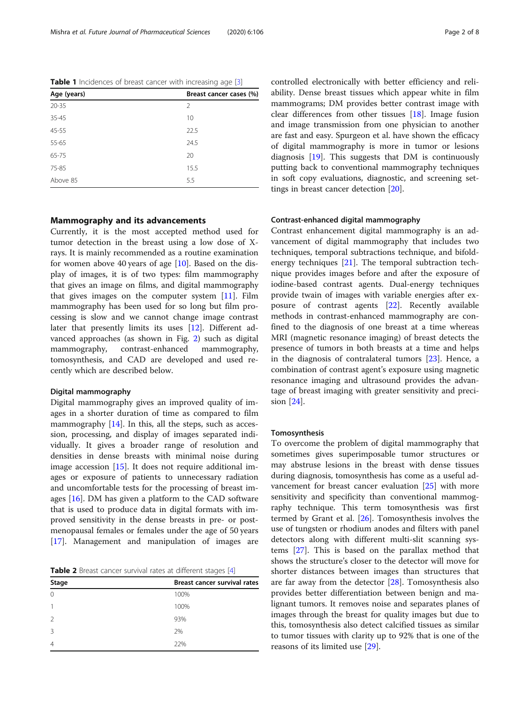| Breast cancer cases (%) |  |
|-------------------------|--|
| $\mathcal{P}$           |  |
| 10                      |  |
| 22.5                    |  |
| 24.5                    |  |
| 20                      |  |
| 15.5                    |  |
| 5.5                     |  |
|                         |  |

<span id="page-1-0"></span>Table 1 Incidences of breast cancer with increasing age [\[3](#page-6-0)]

#### Mammography and its advancements

Currently, it is the most accepted method used for tumor detection in the breast using a low dose of Xrays. It is mainly recommended as a routine examination for women above 40 years of age  $[10]$  $[10]$  $[10]$ . Based on the display of images, it is of two types: film mammography that gives an image on films, and digital mammography that gives images on the computer system  $[11]$  $[11]$ . Film mammography has been used for so long but film processing is slow and we cannot change image contrast later that presently limits its uses [\[12](#page-6-0)]. Different advanced approaches (as shown in Fig. [2](#page-2-0)) such as digital mammography, contrast-enhanced mammography, tomosynthesis, and CAD are developed and used recently which are described below.

#### Digital mammography

Digital mammography gives an improved quality of images in a shorter duration of time as compared to film mammography  $[14]$ . In this, all the steps, such as accession, processing, and display of images separated individually. It gives a broader range of resolution and densities in dense breasts with minimal noise during image accession [[15\]](#page-6-0). It does not require additional images or exposure of patients to unnecessary radiation and uncomfortable tests for the processing of breast images [\[16](#page-6-0)]. DM has given a platform to the CAD software that is used to produce data in digital formats with improved sensitivity in the dense breasts in pre- or postmenopausal females or females under the age of 50 years [[17\]](#page-6-0). Management and manipulation of images are

Table 2 Breast cancer survival rates at different stages [\[4](#page-6-0)]

|               | <u>_</u>                     |  |
|---------------|------------------------------|--|
| Stage         | Breast cancer survival rates |  |
| $\Omega$      | 100%                         |  |
|               | 100%                         |  |
| $\mathcal{P}$ | 93%                          |  |
| 3             | 2%                           |  |
| 4             | 22%                          |  |

controlled electronically with better efficiency and reliability. Dense breast tissues which appear white in film mammograms; DM provides better contrast image with clear differences from other tissues [[18\]](#page-6-0). Image fusion and image transmission from one physician to another are fast and easy. Spurgeon et al. have shown the efficacy of digital mammography is more in tumor or lesions diagnosis [\[19](#page-6-0)]. This suggests that DM is continuously putting back to conventional mammography techniques in soft copy evaluations, diagnostic, and screening settings in breast cancer detection [\[20](#page-6-0)].

#### Contrast-enhanced digital mammography

Contrast enhancement digital mammography is an advancement of digital mammography that includes two techniques, temporal subtractions technique, and bifoldenergy techniques [\[21\]](#page-6-0). The temporal subtraction technique provides images before and after the exposure of iodine-based contrast agents. Dual-energy techniques provide twain of images with variable energies after exposure of contrast agents [[22](#page-6-0)]. Recently available methods in contrast-enhanced mammography are confined to the diagnosis of one breast at a time whereas MRI (magnetic resonance imaging) of breast detects the presence of tumors in both breasts at a time and helps in the diagnosis of contralateral tumors [[23\]](#page-6-0). Hence, a combination of contrast agent's exposure using magnetic resonance imaging and ultrasound provides the advantage of breast imaging with greater sensitivity and precision [[24\]](#page-6-0).

#### Tomosynthesis

To overcome the problem of digital mammography that sometimes gives superimposable tumor structures or may abstruse lesions in the breast with dense tissues during diagnosis, tomosynthesis has come as a useful advancement for breast cancer evaluation [[25\]](#page-6-0) with more sensitivity and specificity than conventional mammography technique. This term tomosynthesis was first termed by Grant et al. [\[26](#page-6-0)]. Tomosynthesis involves the use of tungsten or rhodium anodes and filters with panel detectors along with different multi-slit scanning systems [[27](#page-6-0)]. This is based on the parallax method that shows the structure's closer to the detector will move for shorter distances between images than structures that are far away from the detector [[28\]](#page-6-0). Tomosynthesis also provides better differentiation between benign and malignant tumors. It removes noise and separates planes of images through the breast for quality images but due to this, tomosynthesis also detect calcified tissues as similar to tumor tissues with clarity up to 92% that is one of the reasons of its limited use [[29\]](#page-6-0).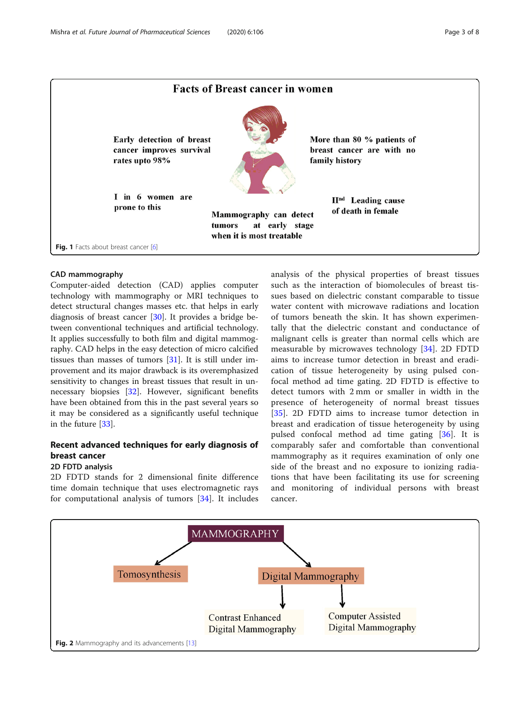<span id="page-2-0"></span>

#### CAD mammography

Computer-aided detection (CAD) applies computer technology with mammography or MRI techniques to detect structural changes masses etc. that helps in early diagnosis of breast cancer [\[30\]](#page-6-0). It provides a bridge between conventional techniques and artificial technology. It applies successfully to both film and digital mammography. CAD helps in the easy detection of micro calcified tissues than masses of tumors [\[31\]](#page-6-0). It is still under improvement and its major drawback is its overemphasized sensitivity to changes in breast tissues that result in unnecessary biopsies [[32\]](#page-6-0). However, significant benefits have been obtained from this in the past several years so it may be considered as a significantly useful technique in the future [\[33](#page-6-0)].

# Recent advanced techniques for early diagnosis of breast cancer

#### 2D FDTD analysis

2D FDTD stands for 2 dimensional finite difference time domain technique that uses electromagnetic rays for computational analysis of tumors [[34\]](#page-6-0). It includes analysis of the physical properties of breast tissues such as the interaction of biomolecules of breast tissues based on dielectric constant comparable to tissue water content with microwave radiations and location of tumors beneath the skin. It has shown experimentally that the dielectric constant and conductance of malignant cells is greater than normal cells which are measurable by microwaves technology [[34](#page-6-0)]. 2D FDTD aims to increase tumor detection in breast and eradication of tissue heterogeneity by using pulsed confocal method ad time gating. 2D FDTD is effective to detect tumors with 2 mm or smaller in width in the presence of heterogeneity of normal breast tissues [[35\]](#page-6-0). 2D FDTD aims to increase tumor detection in breast and eradication of tissue heterogeneity by using pulsed confocal method ad time gating [\[36](#page-6-0)]. It is comparably safer and comfortable than conventional mammography as it requires examination of only one side of the breast and no exposure to ionizing radiations that have been facilitating its use for screening and monitoring of individual persons with breast cancer.

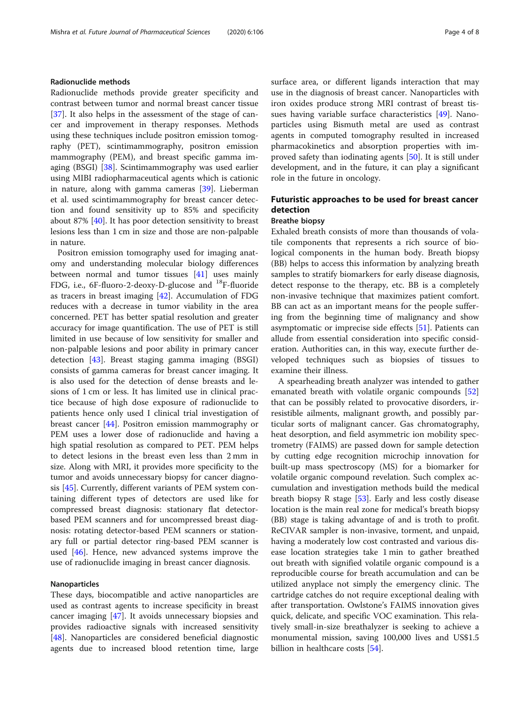## Radionuclide methods

Radionuclide methods provide greater specificity and contrast between tumor and normal breast cancer tissue [[37\]](#page-6-0). It also helps in the assessment of the stage of cancer and improvement in therapy responses. Methods using these techniques include positron emission tomography (PET), scintimammography, positron emission mammography (PEM), and breast specific gamma imaging (BSGI) [[38](#page-6-0)]. Scintimammography was used earlier using MIBI radiopharmaceutical agents which is cationic in nature, along with gamma cameras [\[39\]](#page-6-0). Lieberman et al. used scintimammography for breast cancer detection and found sensitivity up to 85% and specificity about 87% [\[40](#page-6-0)]. It has poor detection sensitivity to breast lesions less than 1 cm in size and those are non-palpable in nature.

Positron emission tomography used for imaging anatomy and understanding molecular biology differences between normal and tumor tissues [[41](#page-6-0)] uses mainly FDG, i.e.,  $6F$ -fluoro-2-deoxy-D-glucose and  $^{18}F$ -fluoride as tracers in breast imaging [\[42\]](#page-6-0). Accumulation of FDG reduces with a decrease in tumor viability in the area concerned. PET has better spatial resolution and greater accuracy for image quantification. The use of PET is still limited in use because of low sensitivity for smaller and non-palpable lesions and poor ability in primary cancer detection [\[43](#page-6-0)]. Breast staging gamma imaging (BSGI) consists of gamma cameras for breast cancer imaging. It is also used for the detection of dense breasts and lesions of 1 cm or less. It has limited use in clinical practice because of high dose exposure of radionuclide to patients hence only used I clinical trial investigation of breast cancer [[44\]](#page-6-0). Positron emission mammography or PEM uses a lower dose of radionuclide and having a high spatial resolution as compared to PET. PEM helps to detect lesions in the breast even less than 2 mm in size. Along with MRI, it provides more specificity to the tumor and avoids unnecessary biopsy for cancer diagnosis [[45\]](#page-6-0). Currently, different variants of PEM system containing different types of detectors are used like for compressed breast diagnosis: stationary flat detectorbased PEM scanners and for uncompressed breast diagnosis: rotating detector-based PEM scanners or stationary full or partial detector ring-based PEM scanner is used [[46\]](#page-6-0). Hence, new advanced systems improve the use of radionuclide imaging in breast cancer diagnosis.

#### Nanoparticles

These days, biocompatible and active nanoparticles are used as contrast agents to increase specificity in breast cancer imaging [[47\]](#page-6-0). It avoids unnecessary biopsies and provides radioactive signals with increased sensitivity [[48\]](#page-6-0). Nanoparticles are considered beneficial diagnostic agents due to increased blood retention time, large surface area, or different ligands interaction that may use in the diagnosis of breast cancer. Nanoparticles with iron oxides produce strong MRI contrast of breast tissues having variable surface characteristics [[49\]](#page-6-0). Nanoparticles using Bismuth metal are used as contrast agents in computed tomography resulted in increased pharmacokinetics and absorption properties with improved safety than iodinating agents [[50\]](#page-6-0). It is still under development, and in the future, it can play a significant role in the future in oncology.

# Futuristic approaches to be used for breast cancer detection

#### Breathe biopsy

Exhaled breath consists of more than thousands of volatile components that represents a rich source of biological components in the human body. Breath biopsy (BB) helps to access this information by analyzing breath samples to stratify biomarkers for early disease diagnosis, detect response to the therapy, etc. BB is a completely non-invasive technique that maximizes patient comfort. BB can act as an important means for the people suffering from the beginning time of malignancy and show asymptomatic or imprecise side effects [\[51](#page-6-0)]. Patients can allude from essential consideration into specific consideration. Authorities can, in this way, execute further developed techniques such as biopsies of tissues to examine their illness.

A spearheading breath analyzer was intended to gather emanated breath with volatile organic compounds [[52](#page-6-0)] that can be possibly related to provocative disorders, irresistible ailments, malignant growth, and possibly particular sorts of malignant cancer. Gas chromatography, heat desorption, and field asymmetric ion mobility spectrometry (FAIMS) are passed down for sample detection by cutting edge recognition microchip innovation for built-up mass spectroscopy (MS) for a biomarker for volatile organic compound revelation. Such complex accumulation and investigation methods build the medical breath biopsy R stage [\[53\]](#page-7-0). Early and less costly disease location is the main real zone for medical's breath biopsy (BB) stage is taking advantage of and is troth to profit. ReCIVAR sampler is non-invasive, torment, and unpaid, having a moderately low cost contrasted and various disease location strategies take 1 min to gather breathed out breath with signified volatile organic compound is a reproducible course for breath accumulation and can be utilized anyplace not simply the emergency clinic. The cartridge catches do not require exceptional dealing with after transportation. Owlstone's FAIMS innovation gives quick, delicate, and specific VOC examination. This relatively small-in-size breathalyzer is seeking to achieve a monumental mission, saving 100,000 lives and US\$1.5 billion in healthcare costs [[54\]](#page-7-0).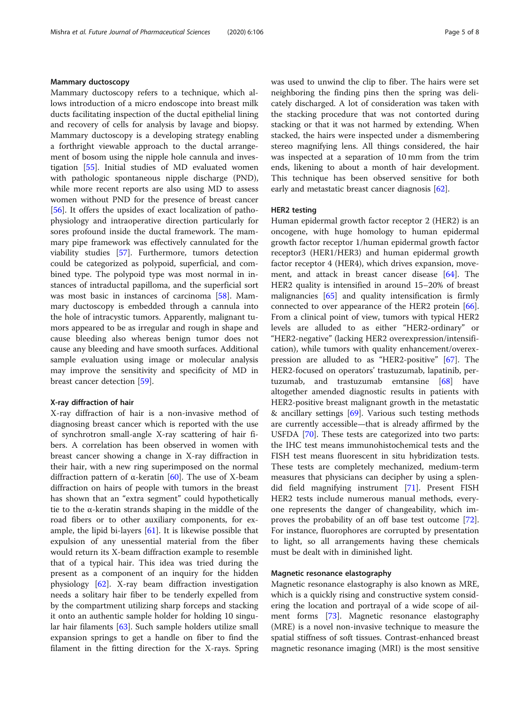#### Mammary ductoscopy

Mammary ductoscopy refers to a technique, which allows introduction of a micro endoscope into breast milk ducts facilitating inspection of the ductal epithelial lining and recovery of cells for analysis by lavage and biopsy. Mammary ductoscopy is a developing strategy enabling a forthright viewable approach to the ductal arrangement of bosom using the nipple hole cannula and investigation [[55](#page-7-0)]. Initial studies of MD evaluated women with pathologic spontaneous nipple discharge (PND), while more recent reports are also using MD to assess women without PND for the presence of breast cancer [[56\]](#page-7-0). It offers the upsides of exact localization of pathophysiology and intraoperative direction particularly for sores profound inside the ductal framework. The mammary pipe framework was effectively cannulated for the viability studies [[57](#page-7-0)]. Furthermore, tumors detection could be categorized as polypoid, superficial, and combined type. The polypoid type was most normal in instances of intraductal papilloma, and the superficial sort was most basic in instances of carcinoma [\[58](#page-7-0)]. Mammary ductoscopy is embedded through a cannula into the hole of intracystic tumors. Apparently, malignant tumors appeared to be as irregular and rough in shape and cause bleeding also whereas benign tumor does not cause any bleeding and have smooth surfaces. Additional sample evaluation using image or molecular analysis may improve the sensitivity and specificity of MD in breast cancer detection [[59\]](#page-7-0).

## X-ray diffraction of hair

X-ray diffraction of hair is a non-invasive method of diagnosing breast cancer which is reported with the use of synchrotron small-angle X-ray scattering of hair fibers. A correlation has been observed in women with breast cancer showing a change in X-ray diffraction in their hair, with a new ring superimposed on the normal diffraction pattern of α-keratin [\[60\]](#page-7-0). The use of X-beam diffraction on hairs of people with tumors in the breast has shown that an "extra segment" could hypothetically tie to the α-keratin strands shaping in the middle of the road fibers or to other auxiliary components, for example, the lipid bi-layers  $[61]$  $[61]$ . It is likewise possible that expulsion of any unessential material from the fiber would return its X-beam diffraction example to resemble that of a typical hair. This idea was tried during the present as a component of an inquiry for the hidden physiology [[62\]](#page-7-0). X-ray beam diffraction investigation needs a solitary hair fiber to be tenderly expelled from by the compartment utilizing sharp forceps and stacking it onto an authentic sample holder for holding 10 singular hair filaments [[63\]](#page-7-0). Such sample holders utilize small expansion springs to get a handle on fiber to find the filament in the fitting direction for the X-rays. Spring was used to unwind the clip to fiber. The hairs were set neighboring the finding pins then the spring was delicately discharged. A lot of consideration was taken with the stacking procedure that was not contorted during stacking or that it was not harmed by extending. When stacked, the hairs were inspected under a dismembering stereo magnifying lens. All things considered, the hair was inspected at a separation of 10 mm from the trim ends, likening to about a month of hair development. This technique has been observed sensitive for both early and metastatic breast cancer diagnosis [\[62](#page-7-0)].

#### HER2 testing

Human epidermal growth factor receptor 2 (HER2) is an oncogene, with huge homology to human epidermal growth factor receptor 1/human epidermal growth factor receptor3 (HER1/HER3) and human epidermal growth factor receptor 4 (HER4), which drives expansion, movement, and attack in breast cancer disease [\[64\]](#page-7-0). The HER2 quality is intensified in around 15–20% of breast malignancies [\[65](#page-7-0)] and quality intensification is firmly connected to over appearance of the HER2 protein  $[66]$  $[66]$ . From a clinical point of view, tumors with typical HER2 levels are alluded to as either "HER2-ordinary" or "HER2-negative" (lacking HER2 overexpression/intensification), while tumors with quality enhancement/overexpression are alluded to as "HER2-positive" [\[67](#page-7-0)]. The HER2-focused on operators' trastuzumab, lapatinib, pertuzumab, and trastuzumab emtansine [\[68](#page-7-0)] have altogether amended diagnostic results in patients with HER2-positive breast malignant growth in the metastatic & ancillary settings [\[69](#page-7-0)]. Various such testing methods are currently accessible—that is already affirmed by the USFDA [[70\]](#page-7-0). These tests are categorized into two parts: the IHC test means immunohistochemical tests and the FISH test means fluorescent in situ hybridization tests. These tests are completely mechanized, medium-term measures that physicians can decipher by using a splendid field magnifying instrument [[71](#page-7-0)]. Present FISH HER2 tests include numerous manual methods, everyone represents the danger of changeability, which improves the probability of an off base test outcome [\[72](#page-7-0)]. For instance, fluorophores are corrupted by presentation to light, so all arrangements having these chemicals must be dealt with in diminished light.

#### Magnetic resonance elastography

Magnetic resonance elastography is also known as MRE, which is a quickly rising and constructive system considering the location and portrayal of a wide scope of ailment forms [[73\]](#page-7-0). Magnetic resonance elastography (MRE) is a novel non-invasive technique to measure the spatial stiffness of soft tissues. Contrast-enhanced breast magnetic resonance imaging (MRI) is the most sensitive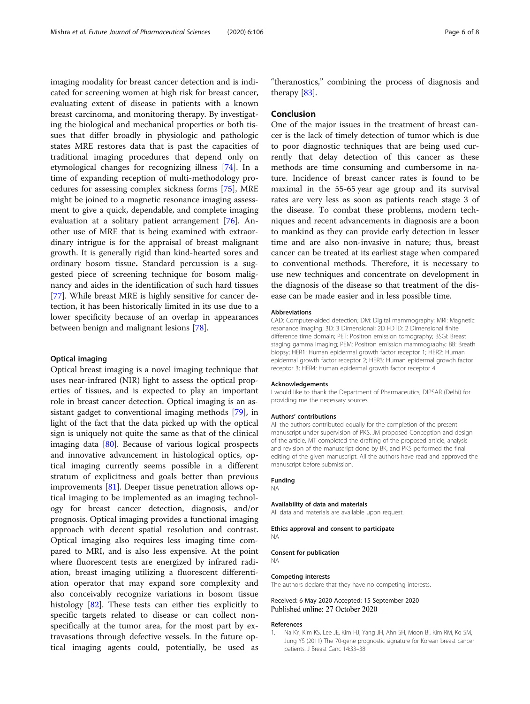<span id="page-5-0"></span>imaging modality for breast cancer detection and is indicated for screening women at high risk for breast cancer, evaluating extent of disease in patients with a known breast carcinoma, and monitoring therapy. By investigating the biological and mechanical properties or both tissues that differ broadly in physiologic and pathologic states MRE restores data that is past the capacities of traditional imaging procedures that depend only on etymological changes for recognizing illness [\[74](#page-7-0)]. In a time of expanding reception of multi-methodology procedures for assessing complex sickness forms [\[75](#page-7-0)], MRE might be joined to a magnetic resonance imaging assessment to give a quick, dependable, and complete imaging evaluation at a solitary patient arrangement [\[76](#page-7-0)]. Another use of MRE that is being examined with extraordinary intrigue is for the appraisal of breast malignant growth. It is generally rigid than kind-hearted sores and ordinary bosom tissue. Standard percussion is a suggested piece of screening technique for bosom malignancy and aides in the identification of such hard tissues [[77\]](#page-7-0). While breast MRE is highly sensitive for cancer detection, it has been historically limited in its use due to a lower specificity because of an overlap in appearances between benign and malignant lesions [\[78](#page-7-0)].

#### Optical imaging

Optical breast imaging is a novel imaging technique that uses near-infrared (NIR) light to assess the optical properties of tissues, and is expected to play an important role in breast cancer detection. Optical imaging is an assistant gadget to conventional imaging methods [[79](#page-7-0)], in light of the fact that the data picked up with the optical sign is uniquely not quite the same as that of the clinical imaging data [\[80](#page-7-0)]. Because of various logical prospects and innovative advancement in histological optics, optical imaging currently seems possible in a different stratum of explicitness and goals better than previous improvements [[81](#page-7-0)]. Deeper tissue penetration allows optical imaging to be implemented as an imaging technology for breast cancer detection, diagnosis, and/or prognosis. Optical imaging provides a functional imaging approach with decent spatial resolution and contrast. Optical imaging also requires less imaging time compared to MRI, and is also less expensive. At the point where fluorescent tests are energized by infrared radiation, breast imaging utilizing a fluorescent differentiation operator that may expand sore complexity and also conceivably recognize variations in bosom tissue histology [[82](#page-7-0)]. These tests can either ties explicitly to specific targets related to disease or can collect nonspecifically at the tumor area, for the most part by extravasations through defective vessels. In the future optical imaging agents could, potentially, be used as

"theranostics," combining the process of diagnosis and therapy [\[83](#page-7-0)].

#### Conclusion

One of the major issues in the treatment of breast cancer is the lack of timely detection of tumor which is due to poor diagnostic techniques that are being used currently that delay detection of this cancer as these methods are time consuming and cumbersome in nature. Incidence of breast cancer rates is found to be maximal in the 55-65 year age group and its survival rates are very less as soon as patients reach stage 3 of the disease. To combat these problems, modern techniques and recent advancements in diagnosis are a boon to mankind as they can provide early detection in lesser time and are also non-invasive in nature; thus, breast cancer can be treated at its earliest stage when compared to conventional methods. Therefore, it is necessary to use new techniques and concentrate on development in the diagnosis of the disease so that treatment of the disease can be made easier and in less possible time.

#### Abbreviations

CAD: Computer-aided detection; DM: Digital mammography; MRI: Magnetic resonance imaging; 3D: 3 Dimensional; 2D FDTD: 2 Dimensional finite difference time domain; PET: Positron emission tomography; BSGI: Breast staging gamma imaging; PEM: Positron emission mammography; BB: Breath biopsy; HER1: Human epidermal growth factor receptor 1; HER2: Human epidermal growth factor receptor 2; HER3: Human epidermal growth factor receptor 3; HER4: Human epidermal growth factor receptor 4

#### Acknowledgements

I would like to thank the Department of Pharmaceutics, DIPSAR (Delhi) for providing me the necessary sources.

#### Authors' contributions

All the authors contributed equally for the completion of the present manuscript under supervision of PKS. JM proposed Conception and design of the article, MT completed the drafting of the proposed article, analysis and revision of the manuscript done by BK, and PKS performed the final editing of the given manuscript. All the authors have read and approved the manuscript before submission.

#### Funding

NA

#### Availability of data and materials

All data and materials are available upon request.

#### Ethics approval and consent to participate NA

Consent for publication NA

#### Competing interests

The authors declare that they have no competing interests.

#### Received: 6 May 2020 Accepted: 15 September 2020 Published online: 27 October 2020

#### References

1. Na KY, Kim KS, Lee JE, Kim HJ, Yang JH, Ahn SH, Moon BI, Kim RM, Ko SM, Jung YS (2011) The 70-gene prognostic signature for Korean breast cancer patients. J Breast Canc 14:33–38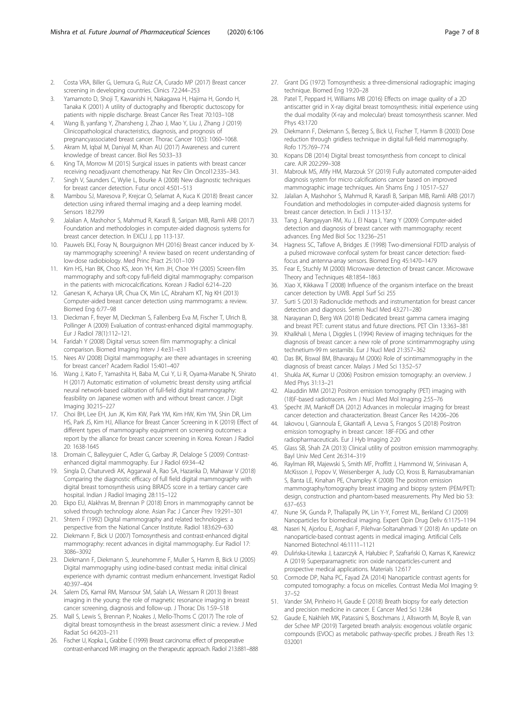- <span id="page-6-0"></span>2. Costa VRA, Biller G, Uemura G, Ruiz CA, Curado MP (2017) Breast cancer screening in developing countries. Clinics 72:244–253
- 3. Yamamoto D, Shoji T, Kawanishi H, Nakagawa H, Hajima H, Gondo H, Tanaka K (2001) A utility of ductography and fiberoptic ductoscopy for patients with nipple discharge. Breast Cancer Res Treat 70:103–108
- 4. Wang B, yanfang Y, Zhansheng J, Zhao J, Mao Y, Liu J, Zhang J (2019) Clinicopathological characteristics, diagnosis, and prognosis of pregnancyassociated breast cancer. Thorac Cancer 10(5): 1060–1068.
- 5. Akram M, Iqbal M, Daniyal M, Khan AU (2017) Awareness and current knowledge of breast cancer. Biol Res 50:33–33
- 6. King TA, Morrow M (2015) Surgical issues in patients with breast cancer receiving neoadjuvant chemotherapy. Nat Rev Clin Oncol12:335–343.
- 7. Singh V, Saunders C, Wylie L, Bourke A (2008) New diagnostic techniques for breast cancer detection. Futur oncol 4:501–513
- 8. Mambou SJ, Maresova P, Krejcar O, Selamat A, Kuca K (2018) Breast cancer detection using infrared thermal imaging and a deep learning model. Sensors 18:2799
- 9. Jalalian A, Mashohor S, Mahmud R, Karasfi B, Saripan MIB, Ramli ARB (2017) Foundation and methodologies in computer-aided diagnosis systems for breast cancer detection. In EXCLI J, pp 113-137.
- 10. Pauwels EKJ, Foray N, Bourguignon MH (2016) Breast cancer induced by Xray mammography screening? A review based on recent understanding of low-dose radiobiology. Med Princ Pract 25:101–109
- 11. Kim HS, Han BK, Choo KS, Jeon YH, Kim JH, Choe YH (2005) Screen-film mammography and soft-copy full-field digital mammography: comparison in the patients with microcalcifications. Korean J Radiol 6:214–220
- 12. Ganesan K, Acharya UR, Chua CK, Min LC, Abraham KT, Ng KH (2013) Computer-aided breast cancer detection using mammograms: a review. Biomed Eng 6:77–98
- 13. Dieckman F, freyer M, Dieckman S, Fallenberg Eva M, Fischer T, Ulrich B, Pollinger A (2009) Evaluation of contrast-enhanced digital mammography. Eur J Radiol 78(1):112–121.
- 14. Faridah Y (2008) Digital versus screen film mammography: a clinical comparison. Biomed Imaging Interv J 4:e31–e31
- 15. Nees AV (2008) Digital mammography: are there advantages in screening for breast cancer? Academ Radiol 15:401–407
- 16. Wang J, Kato F, Yamashita H, Baba M, Cui Y, Li R, Oyama-Manabe N, Shirato H (2017) Automatic estimation of volumetric breast density using artificial neural network-based calibration of full-field digital mammography: feasibility on Japanese women with and without breast cancer. J Digit Imaging 30:215–227
- 17. Choi BH, Lee EH, Jun JK, Kim KW, Park YM, Kim HW, Kim YM, Shin DR, Lim HS, Park JS, Kim HJ, Alliance for Breast Cancer Screening in K (2019) Effect of different types of mammography equipment on screening outcomes: a report by the alliance for breast cancer screening in Korea. Korean J Radiol 20: 1638-1645
- 18. Dromain C, Balleyguier C, Adler G, Garbay JR, Delaloge S (2009) Contrastenhanced digital mammography. Eur J Radiol 69:34–42
- 19. Singla D, Chaturvedi AK, Aggarwal A, Rao SA, Hazarika D, Mahawar V (2018) Comparing the diagnostic efficacy of full field digital mammography with digital breast tomosynthesis using BIRADS score in a tertiary cancer care hospital. Indian J Radiol Imaging 28:115–122
- 20. Ekpo EU, Alakhras M, Brennan P (2018) Errors in mammography cannot be solved through technology alone. Asian Pac J Cancer Prev 19:291–301
- 21. Shtern F (1992) Digital mammography and related technologies: a perspective from the National Cancer Institute. Radiol 183:629–630
- 22. Diekmann F, Bick U (2007) Tomosynthesis and contrast-enhanced digital mammography: recent advances in digital mammography. Eur Radiol 17: 3086–3092
- 23. Diekmann F, Diekmann S, Jeunehomme F, Muller S, Hamm B, Bick U (2005) Digital mammography using iodine-based contrast media: initial clinical experience with dynamic contrast medium enhancement. Investigat Radiol 40:397–404
- 24. Salem DS, Kamal RM, Mansour SM, Salah LA, Wessam R (2013) Breast imaging in the young: the role of magnetic resonance imaging in breast cancer screening, diagnosis and follow-up. J Thorac Dis 1:S9–S18
- 25. Mall S, Lewis S, Brennan P, Noakes J, Mello-Thoms C (2017) The role of digital breast tomosynthesis in the breast assessment clinic: a review. J Med Radiat Sci 64:203–211
- 26. Fischer U, Kopka L, Grabbe E (1999) Breast carcinoma: effect of preoperative contrast-enhanced MR imaging on the therapeutic approach. Radiol 213:881–888
- 27. Grant DG (1972) Tomosynthesis: a three-dimensional radiographic imaging technique. Biomed Eng 19:20–28
- 28. Patel T, Peppard H, Williams MB (2016) Effects on image quality of a 2D antiscatter grid in X-ray digital breast tomosynthesis: initial experience using the dual modality (X-ray and molecular) breast tomosynthesis scanner. Med Phys 43:1720
- 29. Diekmann F, Diekmann S, Berzeg S, Bick U, Fischer T, Hamm B (2003) Dose reduction through gridless technique in digital full-field mammography. Rofo 175:769–774
- 30. Kopans DB (2014) Digital breast tomosynthesis from concept to clinical care. AJR 202:299–308
- 31. Mabrouk MS, Afify HM, Marzouk SY (2019) Fully automated computer-aided diagnosis system for micro calcifications cancer based on improved mammographic image techniques. Ain Shams Eng J 10:517–527
- 32. Jalalian A, Mashohor S, Mahmud R, Karasfi B, Saripan MIB, Ramli ARB (2017) Foundation and methodologies in computer-aided diagnosis systems for breast cancer detection. In Excli J 113-137.
- 33. Tang J, Rangayyan RM, Xu J, El Naqa I, Yang Y (2009) Computer-aided detection and diagnosis of breast cancer with mammography: recent advances. Eng Med Biol Soc 13:236–251
- 34. Hagness SC, Taflove A, Bridges JE (1998) Two-dimensional FDTD analysis of a pulsed microwave confocal system for breast cancer detection: fixedfocus and antenna-array sensors. Biomed Eng 45:1470–1479
- 35. Fear E, Stuchly M (2000) Microwave detection of breast cancer. Microwave Theory and Techniques 48:1854–1863
- 36. Xiao X, Kikkawa T (2008) Influence of the organism interface on the breast cancer detection by UWB. Appl Surf Sci 255
- 37. Surti S (2013) Radionuclide methods and instrumentation for breast cancer detection and diagnosis. Semin Nucl Med 43:271–280
- 38. Narayanan D, Berg WA (2018) Dedicated breast gamma camera imaging and breast PET: current status and future directions. PET Clin 13:363–381
- 39. Khalkhali I, Mena I, Diggles L (1994) Review of imaging techniques for the diagnosis of breast cancer: a new role of prone scintimammography using technetium-99 m sestamibi. Eur J Nucl Med 21:357–362
- 40. Das BK, Biswal BM, Bhavaraju M (2006) Role of scintimammography in the diagnosis of breast cancer. Malays J Med Sci 13:52–57
- 41. Shukla AK, Kumar U (2006) Positron emission tomography: an overview. J Med Phys 31:13–21
- 42. Alauddin MM (2012) Positron emission tomography (PET) imaging with (18)F-based radiotracers. Am J Nucl Med Mol Imaging 2:55–76
- 43. Specht JM, Mankoff DA (2012) Advances in molecular imaging for breast cancer detection and characterization. Breast Cancer Res 14:206–206
- 44. Iakovou I, Giannoula E, Gkantaifi A, Levva S, Frangos S (2018) Positron emission tomography in breast cancer: 18F-FDG and other radiopharmaceuticals. Eur J Hyb Imaging 2:20
- 45. Glass SB, Shah ZA (2013) Clinical utility of positron emission mammography. Bayl Univ Med Cent 26:314–319
- 46. Raylman RR, Majewski S, Smith MF, Proffitt J, Hammond W, Srinivasan A, McKisson J, Popov V, Weisenberger A, Judy CO, Kross B, Ramasubramanian S, Banta LE, Kinahan PE, Champley K (2008) The positron emission mammography/tomography breast imaging and biopsy system (PEM/PET): design, construction and phantom-based measurements. Phy Med bio 53: 637–653
- 47. Nune SK, Gunda P, Thallapally PK, Lin Y-Y, Forrest ML, Berkland CJ (2009) Nanoparticles for biomedical imaging. Expert Opin Drug Deliv 6:1175–1194
- 48. Naseri N, Ajorlou E, Asghari F, Pilehvar-Soltanahmadi Y (2018) An update on nanoparticle-based contrast agents in medical imaging. Artificial Cells Nanomed Biotechnol 46:1111–1121
- 49. Dulińska-Litewka J, Łazarczyk A, Hałubiec P, Szafrański O, Karnas K, Karewicz A (2019) Superparamagnetic iron oxide nanoparticles-current and prospective medical applications. Materials 12:617
- 50. Cormode DP, Naha PC, Fayad ZA (2014) Nanoparticle contrast agents for computed tomography: a focus on micelles. Contrast Media Mol Imaging 9: 37–52
- 51. Vander SM, Pinheiro H, Gaude E (2018) Breath biopsy for early detection and precision medicine in cancer. E Cancer Med Sci 12:84
- 52. Gaude E, Nakhleh MK, Patassini S, Boschmans J, Allsworth M, Boyle B, van der Schee MP (2019) Targeted breath analysis: exogenous volatile organic compounds (EVOC) as metabolic pathway-specific probes. J Breath Res 13: 032001